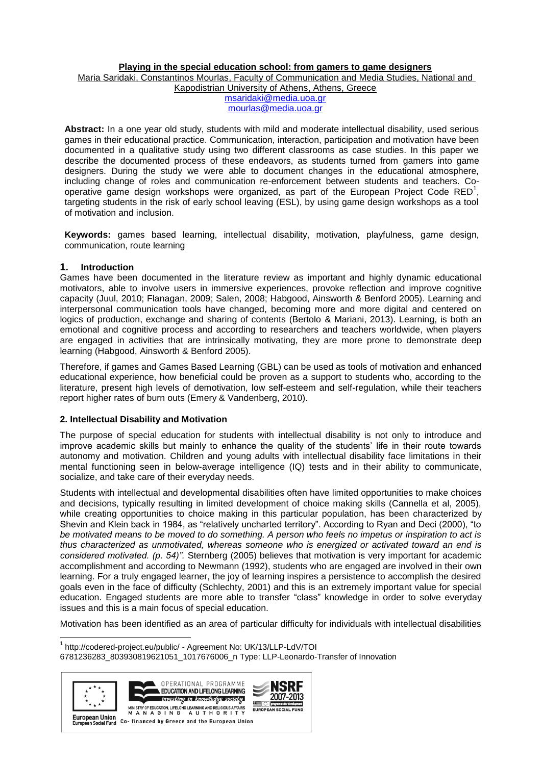#### **Playing in the special education school: from gamers to game designers**

Maria Saridaki, Constantinos Mourlas, Faculty of Communication and Media Studies, National and

Kapodistrian University of Athens, Athens, Greece

[msaridaki@media.uoa.gr](mailto:msaridaki@media.uoa.gr) [mourlas@media.uoa.gr](mailto:mourlas@media.uoa.gr)

**Abstract:** In a one year old study, students with mild and moderate intellectual disability, used serious games in their educational practice. Communication, interaction, participation and motivation have been documented in a qualitative study using two different classrooms as case studies. In this paper we describe the documented process of these endeavors, as students turned from gamers into game designers. During the study we were able to document changes in the educational atmosphere, including change of roles and communication re-enforcement between students and teachers. Cooperative game design workshops were organized, as part of the European Project Code RED<sup>1</sup>, targeting students in the risk of early school leaving (ESL), by using game design workshops as a tool of motivation and inclusion.

**Keywords:** games based learning, intellectual disability, motivation, playfulness, game design, communication, route learning

## **1. Introduction**

Games have been documented in the literature review as important and highly dynamic educational motivators, able to involve users in immersive experiences, provoke reflection and improve cognitive capacity (Juul, 2010; Flanagan, 2009; Salen, 2008; Habgood, Ainsworth & Benford 2005). Learning and interpersonal communication tools have changed, becoming more and more digital and centered on logics of production, exchange and sharing of contents (Bertolo & Mariani, 2013). Learning, is both an emotional and cognitive process and according to researchers and teachers worldwide, when players are engaged in activities that are intrinsically motivating, they are more prone to demonstrate deep learning (Habgood, Ainsworth & Benford 2005).

Therefore, if games and Games Based Learning (GBL) can be used as tools of motivation and enhanced educational experience, how beneficial could be proven as a support to students who, according to the literature, present high levels of demotivation, low self-esteem and self-regulation, while their teachers report higher rates of burn outs (Emery & Vandenberg, 2010).

## **2. Intellectual Disability and Motivation**

The purpose of special education for students with intellectual disability is not only to introduce and improve academic skills but mainly to enhance the quality of the students' life in their route towards autonomy and motivation. Children and young adults with intellectual disability face limitations in their mental functioning seen in below-average intelligence (IQ) tests and in their ability to communicate, socialize, and take care of their everyday needs.

Students with intellectual and developmental disabilities often have limited opportunities to make choices and decisions, typically resulting in limited development of choice making skills (Cannella et al, 2005), while creating opportunities to choice making in this particular population, has been characterized by Shevin and Klein back in 1984, as "relatively uncharted territory". According to Ryan and Deci (2000), "to *be motivated means to be moved to do something. A person who feels no impetus or inspiration to act is thus characterized as unmotivated, whereas someone who is energized or activated toward an end is considered motivated. (p. 54)".* Sternberg (2005) believes that motivation is very important for academic accomplishment and according to Newmann (1992), students who are engaged are involved in their own learning. For a truly engaged learner, the joy of learning inspires a persistence to accomplish the desired goals even in the face of difficulty (Schlechty, 2001) and this is an extremely important value for special education. Engaged students are more able to transfer "class" knowledge in order to solve everyday issues and this is a main focus of special education.

Motivation has been identified as an area of particular difficulty for individuals with intellectual disabilities

 1 <http://codered-project.eu/public/> - Agreement No: UK/13/LLP-LdV/TOI 6781236283\_803930819621051\_1017676006\_n Type: LLP-Leonardo-Transfer of Innovation



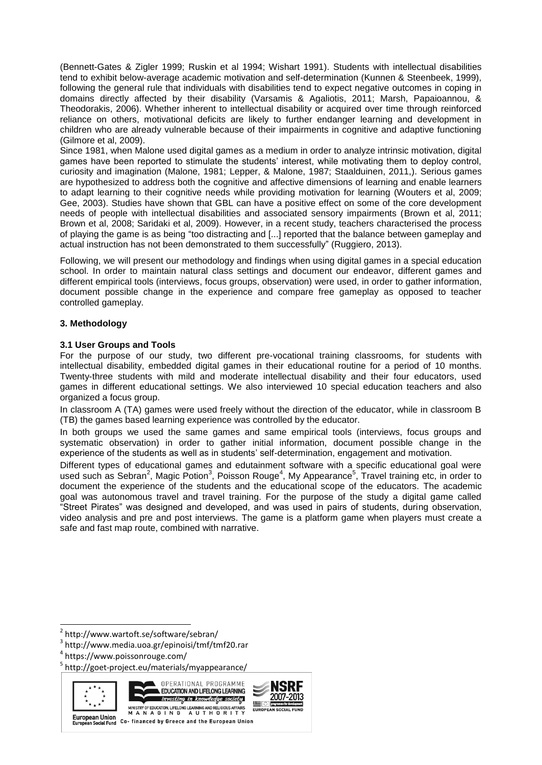(Bennett-Gates & Zigler 1999; Ruskin et al 1994; Wishart 1991). Students with intellectual disabilities tend to exhibit below-average academic motivation and self-determination (Kunnen & Steenbeek, 1999), following the general rule that individuals with disabilities tend to expect negative outcomes in coping in domains directly affected by their disability (Varsamis & Agaliotis, 2011; Marsh, Papaioannou, & Theodorakis, 2006). Whether inherent to intellectual disability or acquired over time through reinforced reliance on others, motivational deficits are likely to further endanger learning and development in children who are already vulnerable because of their impairments in cognitive and adaptive functioning (Gilmore et al, 2009).

Since 1981, when Malone used digital games as a medium in order to analyze intrinsic motivation, digital games have been reported to stimulate the students' interest, while motivating them to deploy control, curiosity and imagination (Malone, 1981; Lepper, & Malone, 1987; Staalduinen, 2011,). Serious games are hypothesized to address both the cognitive and affective dimensions of learning and enable learners to adapt learning to their cognitive needs while providing motivation for learning (Wouters et al, 2009; Gee, 2003). Studies have shown that GBL can have a positive effect on some of the core development needs of people with intellectual disabilities and associated sensory impairments (Brown et al, 2011; Brown et al, 2008; Saridaki et al, 2009). However, in a recent study, teachers characterised the process of playing the game is as being "too distracting and [...] reported that the balance between gameplay and actual instruction has not been demonstrated to them successfully" (Ruggiero, 2013).

Following, we will present our methodology and findings when using digital games in a special education school. In order to maintain natural class settings and document our endeavor, different games and different empirical tools (interviews, focus groups, observation) were used, in order to gather information, document possible change in the experience and compare free gameplay as opposed to teacher controlled gameplay.

## **3. Methodology**

## **3.1 User Groups and Tools**

For the purpose of our study, two different pre-vocational training classrooms, for students with intellectual disability, embedded digital games in their educational routine for a period of 10 months. Twenty-three students with mild and moderate intellectual disability and their four educators, used games in different educational settings. We also interviewed 10 special education teachers and also organized a focus group.

In classroom A (TA) games were used freely without the direction of the educator, while in classroom B (TB) the games based learning experience was controlled by the educator.

In both groups we used the same games and same empirical tools (interviews, focus groups and systematic observation) in order to gather initial information, document possible change in the experience of the students as well as in students' self-determination, engagement and motivation.

Different types of educational games and edutainment software with a specific educational goal were used such as Sebran<sup>2</sup>, Magic Potion<sup>3</sup>, Poisson Rouge<sup>4</sup>, My Appearance<sup>5</sup>, Travel training etc, in order to document the experience of the students and the educational scope of the educators. The academic goal was autonomous travel and travel training. For the purpose of the study a digital game called "Street Pirates" was designed and developed, and was used in pairs of students, during observation, video analysis and pre and post interviews. The game is a platform game when players must create a safe and fast map route, combined with narrative.

<sup>&</sup>lt;sup>5</sup> http://goet-project.eu/materials/myappearance/



1

OPERATIONAL PROGRAMME EDUCATION AND LIFELONG LEARNING <u>investing in knowledge society</u> MINISTRY OF EDUCATION, LIFELONG LEARNING AND RELIGIOUS AFFAIRS<br>M A N A G I N G A U T H O R I T Y

NSR 2007-2013 <u>is o</u>i

<sup>2</sup> http://www.wartoft.se/software/sebran/

<sup>3</sup> http://www.media.uoa.gr/epinoisi/tmf/tmf20.rar

<sup>4</sup> https://www.poissonrouge.com/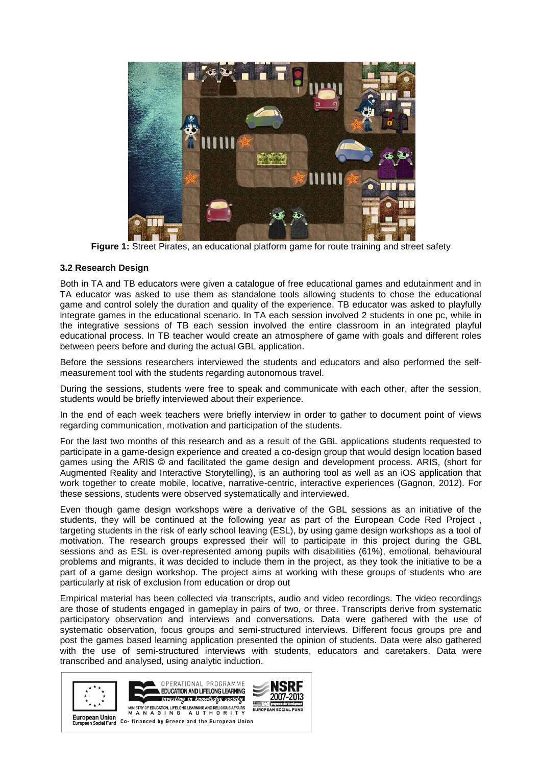

**Figure 1:** Street Pirates, an educational platform game for route training and street safety

## **3.2 Research Design**

Both in TA and TB educators were given a catalogue of free educational games and edutainment and in TA educator was asked to use them as standalone tools allowing students to chose the educational game and control solely the duration and quality of the experience. TB educator was asked to playfully integrate games in the educational scenario. In TA each session involved 2 students in one pc, while in the integrative sessions of TB each session involved the entire classroom in an integrated playful educational process. In TB teacher would create an atmosphere of game with goals and different roles between peers before and during the actual GBL application.

Before the sessions researchers interviewed the students and educators and also performed the selfmeasurement tool with the students regarding autonomous travel.

During the sessions, students were free to speak and communicate with each other, after the session, students would be briefly interviewed about their experience.

In the end of each week teachers were briefly interview in order to gather to document point of views regarding communication, motivation and participation of the students.

For the last two months of this research and as a result of the GBL applications students requested to participate in a game-design experience and created a co-design group that would design location based games using the ARIS © and facilitated the game design and development process. ARIS, (short for Augmented Reality and Interactive Storytelling), is an authoring tool as well as an iOS application that work together to create mobile, locative, narrative-centric, interactive experiences (Gagnon, 2012). For these sessions, students were observed systematically and interviewed.

Even though game design workshops were a derivative of the GBL sessions as an initiative of the students, they will be continued at the following year as part of the European Code Red Project , targeting students in the risk of early school leaving (ESL), by using game design workshops as a tool of motivation. The research groups expressed their will to participate in this project during the GBL sessions and as ESL is over-represented among pupils with disabilities (61%), emotional, behavioural problems and migrants, it was decided to include them in the project, as they took the initiative to be a part of a game design workshop. The project aims at working with these groups of students who are particularly at risk of exclusion from education or drop out

Empirical material has been collected via transcripts, audio and video recordings. The video recordings are those of students engaged in gameplay in pairs of two, or three. Transcripts derive from systematic participatory observation and interviews and conversations. Data were gathered with the use of systematic observation, focus groups and semi-structured interviews. Different focus groups pre and post the games based learning application presented the opinion of students. Data were also gathered with the use of semi-structured interviews with students, educators and caretakers. Data were transcribed and analysed, using analytic induction.





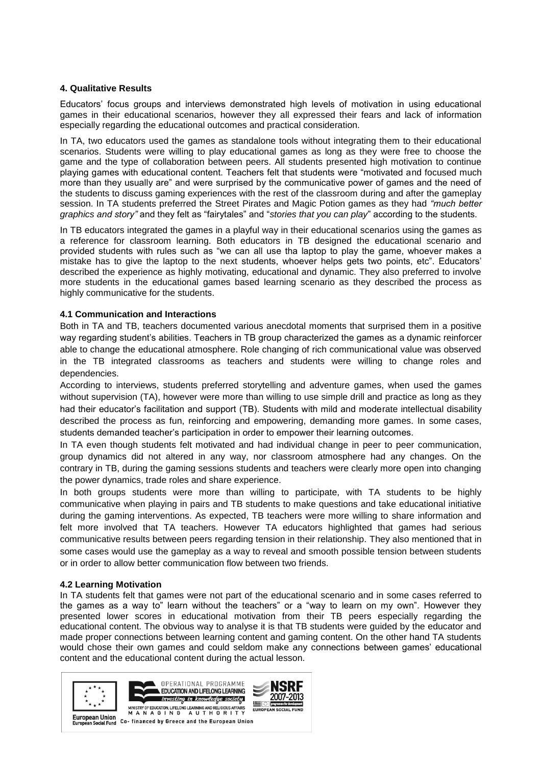#### **4. Qualitative Results**

Educators' focus groups and interviews demonstrated high levels of motivation in using educational games in their educational scenarios, however they all expressed their fears and lack of information especially regarding the educational outcomes and practical consideration.

In TA, two educators used the games as standalone tools without integrating them to their educational scenarios. Students were willing to play educational games as long as they were free to choose the game and the type of collaboration between peers. All students presented high motivation to continue playing games with educational content. Teachers felt that students were "motivated and focused much more than they usually are" and were surprised by the communicative power of games and the need of the students to discuss gaming experiences with the rest of the classroom during and after the gameplay session. In TA students preferred the Street Pirates and Magic Potion games as they had *"much better graphics and story"* and they felt as "fairytales" and "*stories that you can play*" according to the students.

In TB educators integrated the games in a playful way in their educational scenarios using the games as a reference for classroom learning. Both educators in TB designed the educational scenario and provided students with rules such as "we can all use tha laptop to play the game, whoever makes a mistake has to give the laptop to the next students, whoever helps gets two points, etc". Educators' described the experience as highly motivating, educational and dynamic. They also preferred to involve more students in the educational games based learning scenario as they described the process as highly communicative for the students.

## **4.1 Communication and Interactions**

Both in TA and TB, teachers documented various anecdotal moments that surprised them in a positive way regarding student's abilities. Teachers in TB group characterized the games as a dynamic reinforcer able to change the educational atmosphere. Role changing of rich communicational value was observed in the TB integrated classrooms as teachers and students were willing to change roles and dependencies.

According to interviews, students preferred storytelling and adventure games, when used the games without supervision (TA), however were more than willing to use simple drill and practice as long as they had their educator's facilitation and support (TB). Students with mild and moderate intellectual disability described the process as fun, reinforcing and empowering, demanding more games. In some cases, students demanded teacher's participation in order to empower their learning outcomes.

In TA even though students felt motivated and had individual change in peer to peer communication, group dynamics did not altered in any way, nor classroom atmosphere had any changes. On the contrary in TB, during the gaming sessions students and teachers were clearly more open into changing the power dynamics, trade roles and share experience.

In both groups students were more than willing to participate, with TA students to be highly communicative when playing in pairs and TB students to make questions and take educational initiative during the gaming interventions. As expected, TB teachers were more willing to share information and felt more involved that TA teachers. However TA educators highlighted that games had serious communicative results between peers regarding tension in their relationship. They also mentioned that in some cases would use the gameplay as a way to reveal and smooth possible tension between students or in order to allow better communication flow between two friends.

#### **4.2 Learning Motivation**

In TA students felt that games were not part of the educational scenario and in some cases referred to the games as a way to" learn without the teachers" or a "way to learn on my own". However they presented lower scores in educational motivation from their TB peers especially regarding the educational content. The obvious way to analyse it is that TB students were guided by the educator and made proper connections between learning content and gaming content. On the other hand TA students would chose their own games and could seldom make any connections between games' educational content and the educational content during the actual lesson.

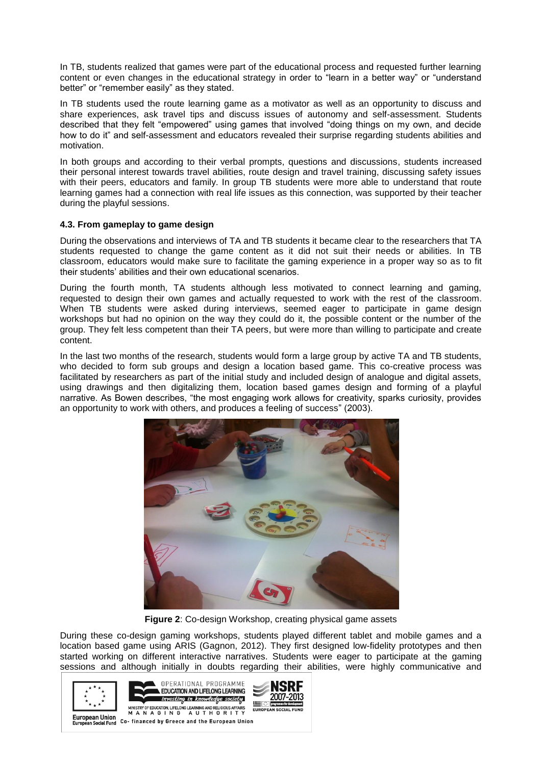In TB, students realized that games were part of the educational process and requested further learning content or even changes in the educational strategy in order to "learn in a better way" or "understand better" or "remember easily" as they stated.

In TB students used the route learning game as a motivator as well as an opportunity to discuss and share experiences, ask travel tips and discuss issues of autonomy and self-assessment. Students described that they felt "empowered" using games that involved "doing things on my own, and decide how to do it" and self-assessment and educators revealed their surprise regarding students abilities and motivation.

In both groups and according to their verbal prompts, questions and discussions, students increased their personal interest towards travel abilities, route design and travel training, discussing safety issues with their peers, educators and family. In group TB students were more able to understand that route learning games had a connection with real life issues as this connection, was supported by their teacher during the playful sessions.

## **4.3. From gameplay to game design**

During the observations and interviews of TA and TB students it became clear to the researchers that TA students requested to change the game content as it did not suit their needs or abilities. In TB classroom, educators would make sure to facilitate the gaming experience in a proper way so as to fit their students' abilities and their own educational scenarios.

During the fourth month, TA students although less motivated to connect learning and gaming, requested to design their own games and actually requested to work with the rest of the classroom. When TB students were asked during interviews, seemed eager to participate in game design workshops but had no opinion on the way they could do it, the possible content or the number of the group. They felt less competent than their TA peers, but were more than willing to participate and create content.

In the last two months of the research, students would form a large group by active TA and TB students, who decided to form sub groups and design a location based game. This co-creative process was facilitated by researchers as part of the initial study and included design of analogue and digital assets, using drawings and then digitalizing them, location based games design and forming of a playful narrative. As Bowen describes, "the most engaging work allows for creativity, sparks curiosity, provides an opportunity to work with others, and produces a feeling of success" (2003).



**Figure 2**: Co-design Workshop, creating physical game assets

During these co-design gaming workshops, students played different tablet and mobile games and a location based game using ARIS (Gagnon, 2012). They first designed low-fidelity prototypes and then started working on different interactive narratives. Students were eager to participate at the gaming sessions and although initially in doubts regarding their abilities, were highly communicative and

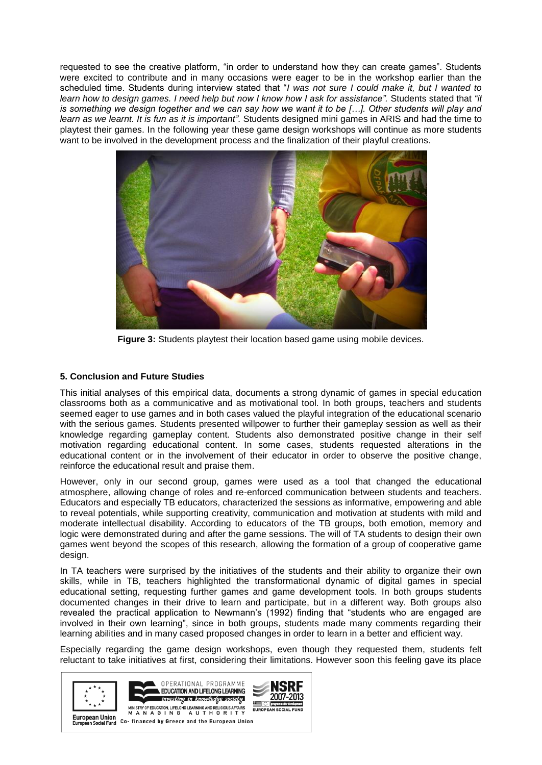requested to see the creative platform, "in order to understand how they can create games". Students were excited to contribute and in many occasions were eager to be in the workshop earlier than the scheduled time. Students during interview stated that "*I was not sure I could make it, but I wanted to learn how to design games. I need help but now I know how I ask for assistance".* Students stated that *"it is something we design together and we can say how we want it to be […]. Other students will play and learn as we learnt. It is fun as it is important".* Students designed mini games in ARIS and had the time to playtest their games. In the following year these game design workshops will continue as more students want to be involved in the development process and the finalization of their playful creations.



**Figure 3:** Students playtest their location based game using mobile devices.

# **5. Conclusion and Future Studies**

This initial analyses of this empirical data, documents a strong dynamic of games in special education classrooms both as a communicative and as motivational tool. In both groups, teachers and students seemed eager to use games and in both cases valued the playful integration of the educational scenario with the serious games. Students presented willpower to further their gameplay session as well as their knowledge regarding gameplay content. Students also demonstrated positive change in their self motivation regarding educational content. In some cases, students requested alterations in the educational content or in the involvement of their educator in order to observe the positive change, reinforce the educational result and praise them.

However, only in our second group, games were used as a tool that changed the educational atmosphere, allowing change of roles and re-enforced communication between students and teachers. Educators and especially TB educators, characterized the sessions as informative, empowering and able to reveal potentials, while supporting creativity, communication and motivation at students with mild and moderate intellectual disability. According to educators of the TB groups, both emotion, memory and logic were demonstrated during and after the game sessions. The will of TA students to design their own games went beyond the scopes of this research, allowing the formation of a group of cooperative game design.

In TA teachers were surprised by the initiatives of the students and their ability to organize their own skills, while in TB, teachers highlighted the transformational dynamic of digital games in special educational setting, requesting further games and game development tools. In both groups students documented changes in their drive to learn and participate, but in a different way. Both groups also revealed the practical application to Newmann's (1992) finding that "students who are engaged are involved in their own learning", since in both groups, students made many comments regarding their learning abilities and in many cased proposed changes in order to learn in a better and efficient way.

Especially regarding the game design workshops, even though they requested them, students felt reluctant to take initiatives at first, considering their limitations. However soon this feeling gave its place



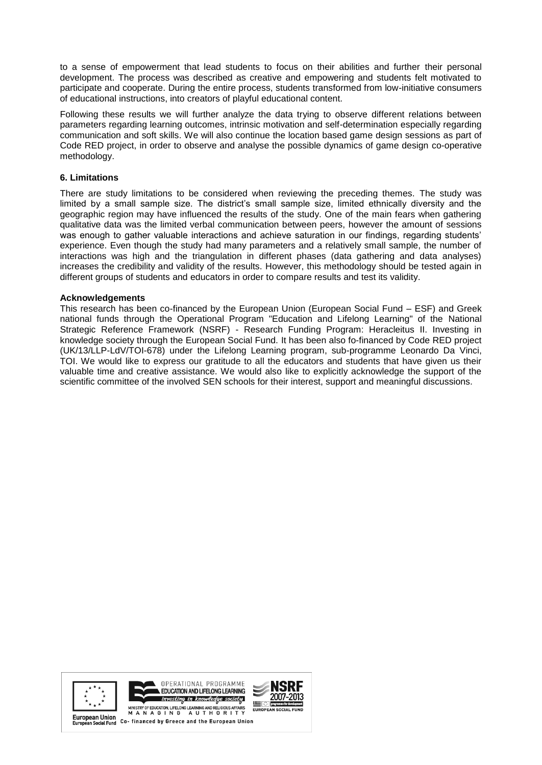to a sense of empowerment that lead students to focus on their abilities and further their personal development. The process was described as creative and empowering and students felt motivated to participate and cooperate. During the entire process, students transformed from low-initiative consumers of educational instructions, into creators of playful educational content.

Following these results we will further analyze the data trying to observe different relations between parameters regarding learning outcomes, intrinsic motivation and self-determination especially regarding communication and soft skills. We will also continue the location based game design sessions as part of Code RED project, in order to observe and analyse the possible dynamics of game design co-operative methodology.

# **6. Limitations**

There are study limitations to be considered when reviewing the preceding themes. The study was limited by a small sample size. The district's small sample size, limited ethnically diversity and the geographic region may have influenced the results of the study. One of the main fears when gathering qualitative data was the limited verbal communication between peers, however the amount of sessions was enough to gather valuable interactions and achieve saturation in our findings, regarding students' experience. Even though the study had many parameters and a relatively small sample, the number of interactions was high and the triangulation in different phases (data gathering and data analyses) increases the credibility and validity of the results. However, this methodology should be tested again in different groups of students and educators in order to compare results and test its validity.

## **Acknowledgements**

This research has been co-financed by the European Union (European Social Fund – ESF) and Greek national funds through the Operational Program "Education and Lifelong Learning" of the National Strategic Reference Framework (NSRF) - Research Funding Program: Heracleitus II. Investing in knowledge society through the European Social Fund. It has been also fo-financed by Code RED project (UK/13/LLP-LdV/TOI-678) under the Lifelong Learning program, sub-programme Leonardo Da Vinci, TOI. We would like to express our gratitude to all the educators and students that have given us their valuable time and creative assistance. We would also like to explicitly acknowledge the support of the scientific committee of the involved SEN schools for their interest, support and meaningful discussions.



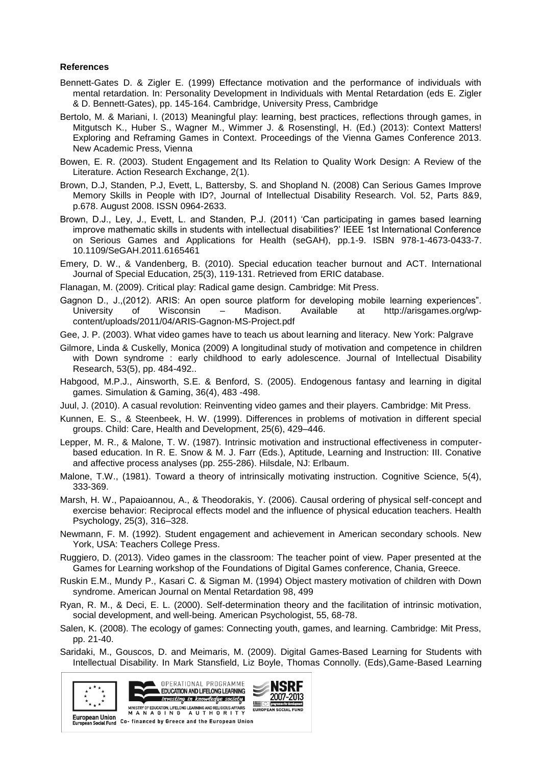#### **References**

- Bennett-Gates D. & Zigler E. (1999) Effectance motivation and the performance of individuals with mental retardation. In: Personality Development in Individuals with Mental Retardation (eds E. Zigler & D. Bennett-Gates), pp. 145-164. Cambridge, University Press, Cambridge
- Bertolo, M. & Mariani, I. (2013) Meaningful play: learning, best practices, reflections through games, in Mitgutsch K., Huber S., Wagner M., Wimmer J. & Rosenstingl, H. (Ed.) (2013): Context Matters! Exploring and Reframing Games in Context. Proceedings of the Vienna Games Conference 2013. New Academic Press, Vienna
- Bowen, E. R. (2003). Student Engagement and Its Relation to Quality Work Design: A Review of the Literature. Action Research Exchange, 2(1).
- Brown, D.J, Standen, P.J, Evett, L, Battersby, S. and Shopland N. (2008) Can Serious Games Improve Memory Skills in People with ID?, Journal of Intellectual Disability Research. Vol. 52, Parts 8&9, p.678. August 2008. ISSN 0964-2633.
- Brown, D.J., Ley, J., Evett, L. and Standen, P.J. (2011) 'Can participating in games based learning improve mathematic skills in students with intellectual disabilities?' IEEE 1st International Conference on Serious Games and Applications for Health (seGAH), pp.1-9. ISBN 978-1-4673-0433-7. 10.1109/SeGAH.2011.6165461
- Emery, D. W., & Vandenberg, B. (2010). Special education teacher burnout and ACT. International Journal of Special Education, 25(3), 119-131. Retrieved from ERIC database.
- Flanagan, M. (2009). Critical play: Radical game design. Cambridge: Mit Press.
- Gagnon D., J.,(2012). ARIS: An open source platform for developing mobile learning experiences". University of Wisconsin – Madison. Available at http://arisgames.org/wpcontent/uploads/2011/04/ARIS-Gagnon-MS-Project.pdf
- Gee, J. P. (2003). What video games have to teach us about learning and literacy. New York: Palgrave
- Gilmore, Linda & Cuskelly, Monica (2009) A longitudinal study of motivation and competence in children with Down syndrome : early childhood to early adolescence. Journal of Intellectual Disability Research, 53(5), pp. 484-492..
- Habgood, M.P.J., Ainsworth, S.E. & Benford, S. (2005). Endogenous fantasy and learning in digital games. Simulation & Gaming, 36(4), 483 -498.
- Juul, J. (2010). A casual revolution: Reinventing video games and their players. Cambridge: Mit Press.
- Kunnen, E. S., & Steenbeek, H. W. (1999). Differences in problems of motivation in different special groups. Child: Care, Health and Development, 25(6), 429–446.
- Lepper, M. R., & Malone, T. W. (1987). Intrinsic motivation and instructional effectiveness in computerbased education. In R. E. Snow & M. J. Farr (Eds.), Aptitude, Learning and Instruction: III. Conative and affective process analyses (pp. 255-286). Hilsdale, NJ: Erlbaum.
- Malone, T.W., (1981). Toward a theory of intrinsically motivating instruction. Cognitive Science, 5(4), 333-369.
- Marsh, H. W., Papaioannou, A., & Theodorakis, Y. (2006). Causal ordering of physical self-concept and exercise behavior: Reciprocal effects model and the influence of physical education teachers. Health Psychology, 25(3), 316–328.
- Newmann, F. M. (1992). Student engagement and achievement in American secondary schools. New York, USA: Teachers College Press.
- Ruggiero, D. (2013). Video games in the classroom: The teacher point of view. Paper presented at the Games for Learning workshop of the Foundations of Digital Games conference, Chania, Greece.
- Ruskin E.M., Mundy P., Kasari C. & Sigman M. (1994) Object mastery motivation of children with Down syndrome. American Journal on Mental Retardation 98, 499
- Ryan, R. M., & Deci, E. L. (2000). Self-determination theory and the facilitation of intrinsic motivation, social development, and well-being. American Psychologist, 55, 68-78.
- Salen, K. (2008). The ecology of games: Connecting youth, games, and learning. Cambridge: Mit Press, pp. 21-40.
- Saridaki, M., Gouscos, D. and Meimaris, M. (2009). Digital Games-Based Learning for Students with Intellectual Disability. In Mark Stansfield, Liz Boyle, Thomas Connolly. (Eds),Game-Based Learning